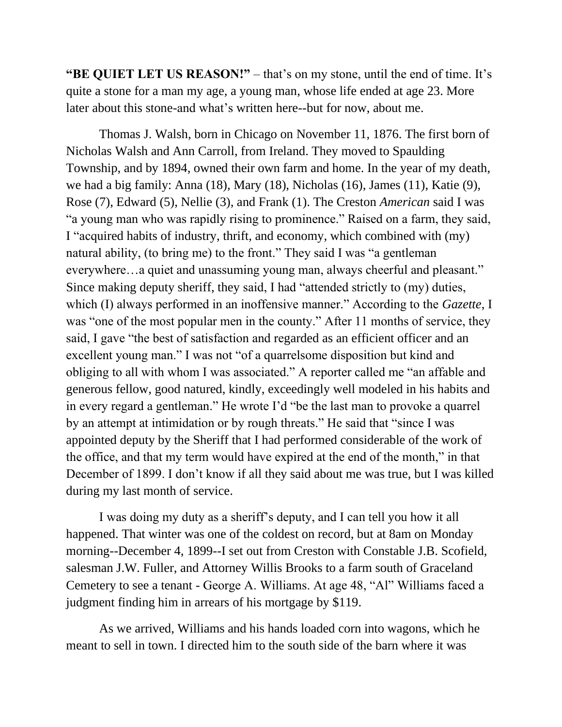**"BE QUIET LET US REASON!"** – that's on my stone, until the end of time. It's quite a stone for a man my age, a young man, whose life ended at age 23. More later about this stone-and what's written here--but for now, about me.

Thomas J. Walsh, born in Chicago on November 11, 1876. The first born of Nicholas Walsh and Ann Carroll, from Ireland. They moved to Spaulding Township, and by 1894, owned their own farm and home. In the year of my death, we had a big family: Anna (18), Mary (18), Nicholas (16), James (11), Katie (9), Rose (7), Edward (5), Nellie (3), and Frank (1). The Creston *American* said I was "a young man who was rapidly rising to prominence." Raised on a farm, they said, I "acquired habits of industry, thrift, and economy, which combined with (my) natural ability, (to bring me) to the front." They said I was "a gentleman everywhere…a quiet and unassuming young man, always cheerful and pleasant." Since making deputy sheriff, they said, I had "attended strictly to (my) duties, which (I) always performed in an inoffensive manner." According to the *Gazette*, I was "one of the most popular men in the county." After 11 months of service, they said, I gave "the best of satisfaction and regarded as an efficient officer and an excellent young man." I was not "of a quarrelsome disposition but kind and obliging to all with whom I was associated." A reporter called me "an affable and generous fellow, good natured, kindly, exceedingly well modeled in his habits and in every regard a gentleman." He wrote I'd "be the last man to provoke a quarrel by an attempt at intimidation or by rough threats." He said that "since I was appointed deputy by the Sheriff that I had performed considerable of the work of the office, and that my term would have expired at the end of the month," in that December of 1899. I don't know if all they said about me was true, but I was killed during my last month of service.

I was doing my duty as a sheriff's deputy, and I can tell you how it all happened. That winter was one of the coldest on record, but at 8am on Monday morning--December 4, 1899--I set out from Creston with Constable J.B. Scofield, salesman J.W. Fuller, and Attorney Willis Brooks to a farm south of Graceland Cemetery to see a tenant - George A. Williams. At age 48, "Al" Williams faced a judgment finding him in arrears of his mortgage by \$119.

As we arrived, Williams and his hands loaded corn into wagons, which he meant to sell in town. I directed him to the south side of the barn where it was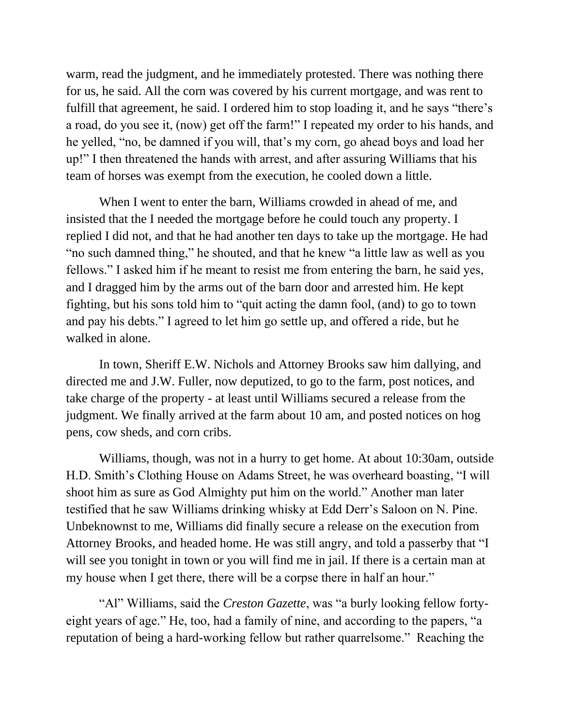warm, read the judgment, and he immediately protested. There was nothing there for us, he said. All the corn was covered by his current mortgage, and was rent to fulfill that agreement, he said. I ordered him to stop loading it, and he says "there's a road, do you see it, (now) get off the farm!" I repeated my order to his hands, and he yelled, "no, be damned if you will, that's my corn, go ahead boys and load her up!" I then threatened the hands with arrest, and after assuring Williams that his team of horses was exempt from the execution, he cooled down a little.

When I went to enter the barn, Williams crowded in ahead of me, and insisted that the I needed the mortgage before he could touch any property. I replied I did not, and that he had another ten days to take up the mortgage. He had "no such damned thing," he shouted, and that he knew "a little law as well as you fellows." I asked him if he meant to resist me from entering the barn, he said yes, and I dragged him by the arms out of the barn door and arrested him. He kept fighting, but his sons told him to "quit acting the damn fool, (and) to go to town and pay his debts." I agreed to let him go settle up, and offered a ride, but he walked in alone.

In town, Sheriff E.W. Nichols and Attorney Brooks saw him dallying, and directed me and J.W. Fuller, now deputized, to go to the farm, post notices, and take charge of the property - at least until Williams secured a release from the judgment. We finally arrived at the farm about 10 am, and posted notices on hog pens, cow sheds, and corn cribs.

Williams, though, was not in a hurry to get home. At about 10:30am, outside H.D. Smith's Clothing House on Adams Street, he was overheard boasting, "I will shoot him as sure as God Almighty put him on the world." Another man later testified that he saw Williams drinking whisky at Edd Derr's Saloon on N. Pine. Unbeknownst to me, Williams did finally secure a release on the execution from Attorney Brooks, and headed home. He was still angry, and told a passerby that "I will see you tonight in town or you will find me in jail. If there is a certain man at my house when I get there, there will be a corpse there in half an hour."

"Al" Williams, said the *Creston Gazette*, was "a burly looking fellow fortyeight years of age." He, too, had a family of nine, and according to the papers, "a reputation of being a hard-working fellow but rather quarrelsome." Reaching the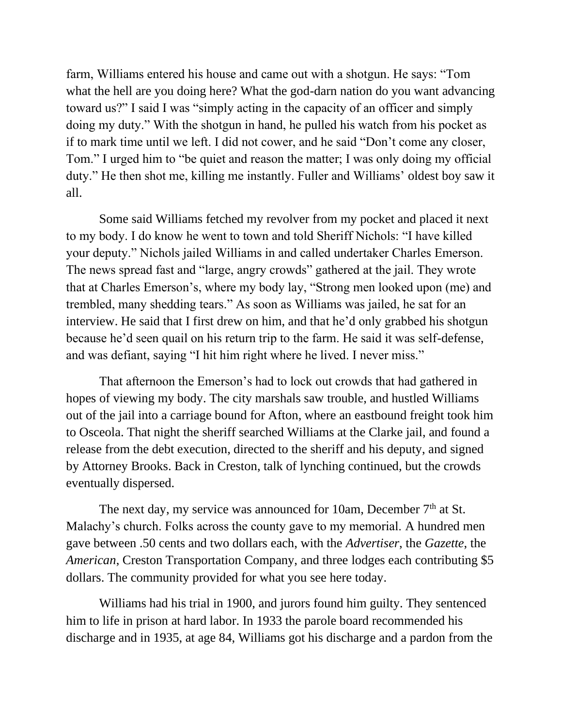farm, Williams entered his house and came out with a shotgun. He says: "Tom what the hell are you doing here? What the god-darn nation do you want advancing toward us?" I said I was "simply acting in the capacity of an officer and simply doing my duty." With the shotgun in hand, he pulled his watch from his pocket as if to mark time until we left. I did not cower, and he said "Don't come any closer, Tom." I urged him to "be quiet and reason the matter; I was only doing my official duty." He then shot me, killing me instantly. Fuller and Williams' oldest boy saw it all.

Some said Williams fetched my revolver from my pocket and placed it next to my body. I do know he went to town and told Sheriff Nichols: "I have killed your deputy." Nichols jailed Williams in and called undertaker Charles Emerson. The news spread fast and "large, angry crowds" gathered at the jail. They wrote that at Charles Emerson's, where my body lay, "Strong men looked upon (me) and trembled, many shedding tears." As soon as Williams was jailed, he sat for an interview. He said that I first drew on him, and that he'd only grabbed his shotgun because he'd seen quail on his return trip to the farm. He said it was self-defense, and was defiant, saying "I hit him right where he lived. I never miss."

That afternoon the Emerson's had to lock out crowds that had gathered in hopes of viewing my body. The city marshals saw trouble, and hustled Williams out of the jail into a carriage bound for Afton, where an eastbound freight took him to Osceola. That night the sheriff searched Williams at the Clarke jail, and found a release from the debt execution, directed to the sheriff and his deputy, and signed by Attorney Brooks. Back in Creston, talk of lynching continued, but the crowds eventually dispersed.

The next day, my service was announced for 10am, December  $7<sup>th</sup>$  at St. Malachy's church. Folks across the county gave to my memorial. A hundred men gave between .50 cents and two dollars each, with the *Advertiser*, the *Gazette*, the *American*, Creston Transportation Company, and three lodges each contributing \$5 dollars. The community provided for what you see here today.

Williams had his trial in 1900, and jurors found him guilty. They sentenced him to life in prison at hard labor. In 1933 the parole board recommended his discharge and in 1935, at age 84, Williams got his discharge and a pardon from the